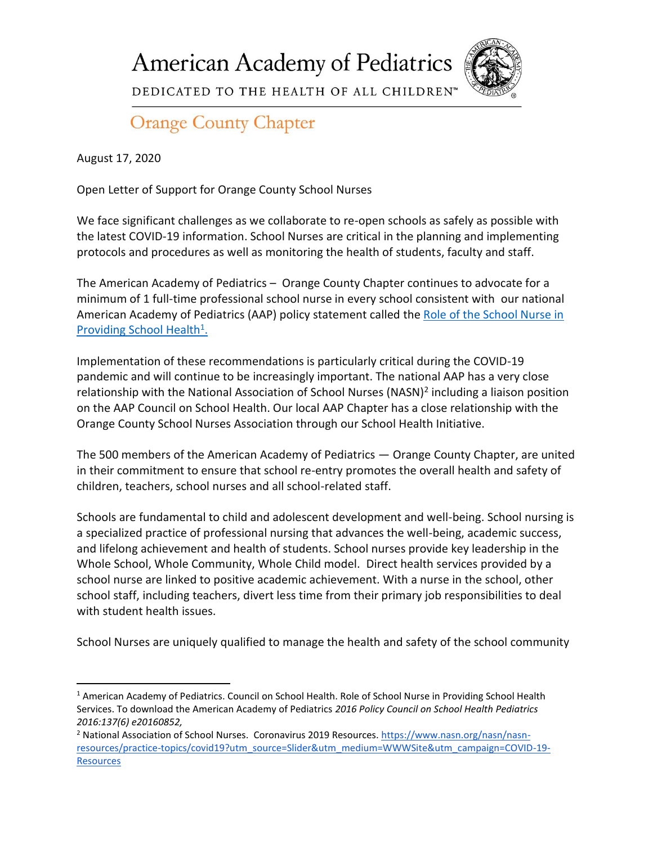**American Academy of Pediatrics** 



DEDICATED TO THE HEALTH OF ALL CHILDREN™

## **Orange County Chapter**

August 17, 2020

Open Letter of Support for Orange County School Nurses

We face significant challenges as we collaborate to re-open schools as safely as possible with the latest COVID-19 information. School Nurses are critical in the planning and implementing protocols and procedures as well as monitoring the health of students, faculty and staff.

The American Academy of Pediatrics – Orange County Chapter continues to advocate for a minimum of 1 full-time professional school nurse in every school consistent with our national American Academy of Pediatrics (AAP) policy statement called the [Role of the School Nurse in](https://urldefense.com/v3/__https:/pediatrics.aappublications.org/content/137/6/e20160852__;!!OLgoXmg!G8pIgjEtpxWZOPjraMsBEaPIOXbw0yCWOIaXAqfHNH-BnYwUP3k2pYf5oNi5kwuI$)  [Providing School Health](https://urldefense.com/v3/__https:/pediatrics.aappublications.org/content/137/6/e20160852__;!!OLgoXmg!G8pIgjEtpxWZOPjraMsBEaPIOXbw0yCWOIaXAqfHNH-BnYwUP3k2pYf5oNi5kwuI$)<sup>1</sup>.

Implementation of these recommendations is particularly critical during the COVID-19 pandemic and will continue to be increasingly important. The national AAP has a very close relationship with the National Association of School Nurses (NASN)<sup>2</sup> including a liaison position on the AAP Council on School Health. Our local AAP Chapter has a close relationship with the Orange County School Nurses Association through our School Health Initiative.

The 500 members of the American Academy of Pediatrics — Orange County Chapter, are united in their commitment to ensure that school re-entry promotes the overall health and safety of children, teachers, school nurses and all school-related staff.

Schools are fundamental to child and adolescent development and well-being. School nursing is a specialized practice of professional nursing that advances the well-being, academic success, and lifelong achievement and health of students. School nurses provide key leadership in the Whole School, Whole Community, Whole Child model. Direct health services provided by a school nurse are linked to positive academic achievement. With a nurse in the school, other school staff, including teachers, divert less time from their primary job responsibilities to deal with student health issues.

School Nurses are uniquely qualified to manage the health and safety of the school community

<sup>1</sup> American Academy of Pediatrics. Council on School Health. Role of School Nurse in Providing School Health Services. To download the American Academy of Pediatrics *2016 Policy Council on School Health Pediatrics 2016:137(6) e20160852,*

<sup>&</sup>lt;sup>2</sup> National Association of School Nurses. Coronavirus 2019 Resources. [https://www.nasn.org/nasn/nasn](https://www.nasn.org/nasn/nasn-resources/practice-topics/covid19?utm_source=Slider&utm_medium=WWWSite&utm_campaign=COVID-19-Resources)[resources/practice-topics/covid19?utm\\_source=Slider&utm\\_medium=WWWSite&utm\\_campaign=COVID-19-](https://www.nasn.org/nasn/nasn-resources/practice-topics/covid19?utm_source=Slider&utm_medium=WWWSite&utm_campaign=COVID-19-Resources) **[Resources](https://www.nasn.org/nasn/nasn-resources/practice-topics/covid19?utm_source=Slider&utm_medium=WWWSite&utm_campaign=COVID-19-Resources)**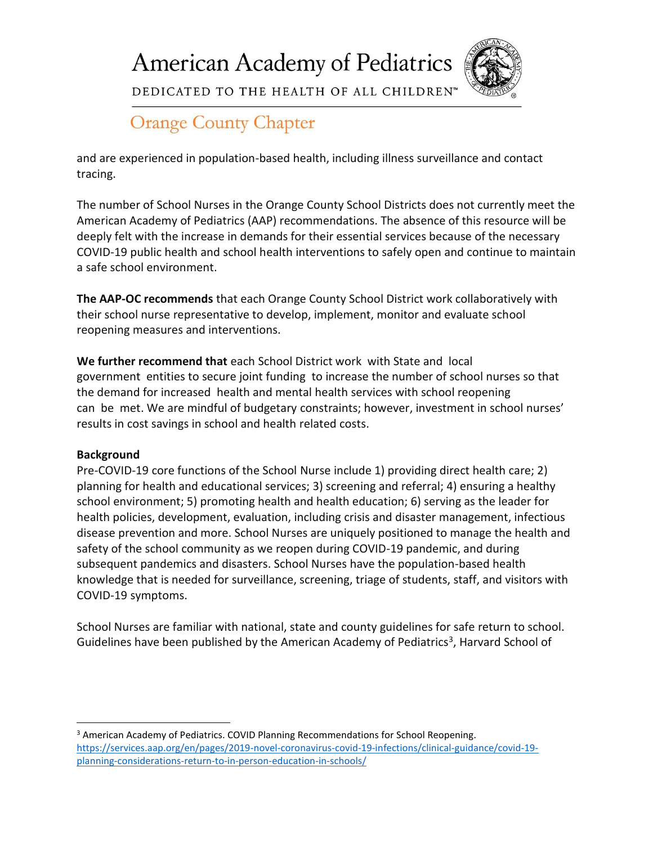**American Academy of Pediatrics** 



DEDICATED TO THE HEALTH OF ALL CHILDREN™

## **Orange County Chapter**

and are experienced in population-based health, including illness surveillance and contact tracing.

The number of School Nurses in the Orange County School Districts does not currently meet the American Academy of Pediatrics (AAP) recommendations. The absence of this resource will be deeply felt with the increase in demands for their essential services because of the necessary COVID-19 public health and school health interventions to safely open and continue to maintain a safe school environment.

**The AAP-OC recommends** that each Orange County School District work collaboratively with their school nurse representative to develop, implement, monitor and evaluate school reopening measures and interventions.

**We further recommend that** each School District work with State and local government entities to secure joint funding to increase the number of school nurses so that the demand for increased health and mental health services with school reopening can be met. We are mindful of budgetary constraints; however, investment in school nurses' results in cost savings in school and health related costs.

## **Background**

Pre-COVID-19 core functions of the School Nurse include 1) providing direct health care; 2) planning for health and educational services; 3) screening and referral; 4) ensuring a healthy school environment; 5) promoting health and health education; 6) serving as the leader for health policies, development, evaluation, including crisis and disaster management, infectious disease prevention and more. School Nurses are uniquely positioned to manage the health and safety of the school community as we reopen during COVID-19 pandemic, and during subsequent pandemics and disasters. School Nurses have the population-based health knowledge that is needed for surveillance, screening, triage of students, staff, and visitors with COVID-19 symptoms.

School Nurses are familiar with national, state and county guidelines for safe return to school. Guidelines have been published by the American Academy of Pediatrics<sup>3</sup>, Harvard School of

<sup>3</sup> American Academy of Pediatrics. COVID Planning Recommendations for School Reopening. [https://services.aap.org/en/pages/2019-novel-coronavirus-covid-19-infections/clinical-guidance/covid-19](https://services.aap.org/en/pages/2019-novel-coronavirus-covid-19-infections/clinical-guidance/covid-19-planning-considerations-return-to-in-person-education-in-schools/) [planning-considerations-return-to-in-person-education-in-schools/](https://services.aap.org/en/pages/2019-novel-coronavirus-covid-19-infections/clinical-guidance/covid-19-planning-considerations-return-to-in-person-education-in-schools/)